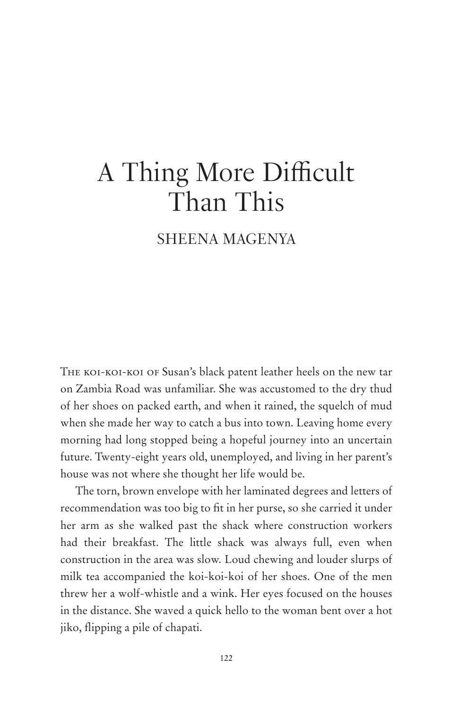# A Thing More Difficult Than This

# SHEENA MAGENYA

The koi-koi-koi of Susan's black patent leather heels on the new tar on Zambia Road was unfamiliar. She was accustomed to the dry thud of her shoes on packed earth, and when it rained, the squelch of mud when she made her way to catch a bus into town. Leaving home every morning had long stopped being a hopeful journey into an uncertain future. Twenty-eight years old, unemployed, and living in her parent's house was not where she thought her life would be.

The torn, brown envelope with her laminated degrees and letters of recommendation was too big to fit in her purse, so she carried it under her arm as she walked past the shack where construction workers had their breakfast. The little shack was always full, even when construction in the area was slow. Loud chewing and louder slurps of milk tea accompanied the koi-koi-koi of her shoes. One of the men threw her a wolf-whistle and a wink. Her eyes focused on the houses in the distance. She waved a quick hello to the woman bent over a hot jiko, flipping a pile of chapati.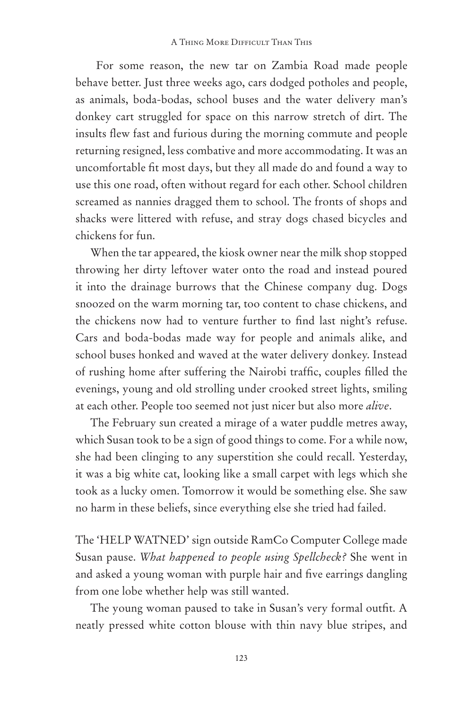For some reason, the new tar on Zambia Road made people behave better. Just three weeks ago, cars dodged potholes and people, as animals, boda-bodas, school buses and the water delivery man's donkey cart struggled for space on this narrow stretch of dirt. The insults flew fast and furious during the morning commute and people returning resigned, less combative and more accommodating. It was an uncomfortable fit most days, but they all made do and found a way to use this one road, often without regard for each other. School children screamed as nannies dragged them to school. The fronts of shops and shacks were littered with refuse, and stray dogs chased bicycles and chickens for fun.

When the tar appeared, the kiosk owner near the milk shop stopped throwing her dirty leftover water onto the road and instead poured it into the drainage burrows that the Chinese company dug. Dogs snoozed on the warm morning tar, too content to chase chickens, and the chickens now had to venture further to find last night's refuse. Cars and boda-bodas made way for people and animals alike, and school buses honked and waved at the water delivery donkey. Instead of rushing home after suffering the Nairobi traffic, couples filled the evenings, young and old strolling under crooked street lights, smiling at each other. People too seemed not just nicer but also more *alive*.

The February sun created a mirage of a water puddle metres away, which Susan took to be a sign of good things to come. For a while now, she had been clinging to any superstition she could recall. Yesterday, it was a big white cat, looking like a small carpet with legs which she took as a lucky omen. Tomorrow it would be something else. She saw no harm in these beliefs, since everything else she tried had failed.

The 'HELP WATNED' sign outside RamCo Computer College made Susan pause. *What happened to people using Spellcheck?* She went in and asked a young woman with purple hair and five earrings dangling from one lobe whether help was still wanted.

The young woman paused to take in Susan's very formal outfit. A neatly pressed white cotton blouse with thin navy blue stripes, and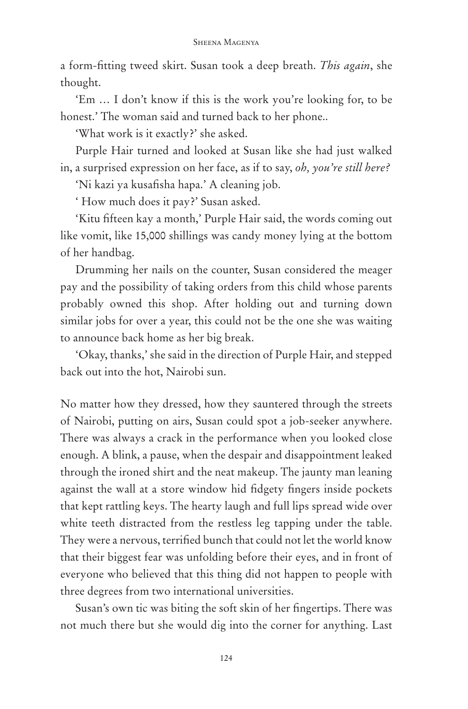a form-fitting tweed skirt. Susan took a deep breath. *This again*, she thought.

'Em … I don't know if this is the work you're looking for, to be honest.' The woman said and turned back to her phone..

'What work is it exactly?' she asked.

Purple Hair turned and looked at Susan like she had just walked in, a surprised expression on her face, as if to say, *oh, you're still here?*

'Ni kazi ya kusafisha hapa.' A cleaning job.

' How much does it pay?' Susan asked.

'Kitu fifteen kay a month,' Purple Hair said, the words coming out like vomit, like 15,000 shillings was candy money lying at the bottom of her handbag.

Drumming her nails on the counter, Susan considered the meager pay and the possibility of taking orders from this child whose parents probably owned this shop. After holding out and turning down similar jobs for over a year, this could not be the one she was waiting to announce back home as her big break.

'Okay, thanks,' she said in the direction of Purple Hair, and stepped back out into the hot, Nairobi sun.

No matter how they dressed, how they sauntered through the streets of Nairobi, putting on airs, Susan could spot a job-seeker anywhere. There was always a crack in the performance when you looked close enough. A blink, a pause, when the despair and disappointment leaked through the ironed shirt and the neat makeup. The jaunty man leaning against the wall at a store window hid fidgety fingers inside pockets that kept rattling keys. The hearty laugh and full lips spread wide over white teeth distracted from the restless leg tapping under the table. They were a nervous, terrified bunch that could not let the world know that their biggest fear was unfolding before their eyes, and in front of everyone who believed that this thing did not happen to people with three degrees from two international universities.

Susan's own tic was biting the soft skin of her fingertips. There was not much there but she would dig into the corner for anything. Last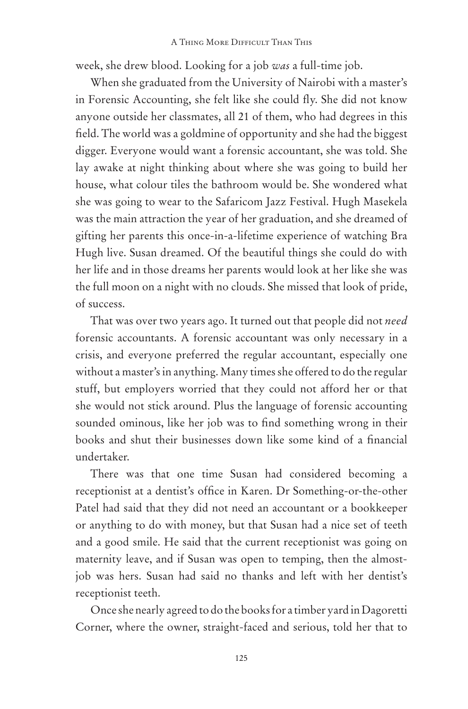week, she drew blood. Looking for a job *was* a full-time job.

When she graduated from the University of Nairobi with a master's in Forensic Accounting, she felt like she could fly. She did not know anyone outside her classmates, all 21 of them, who had degrees in this field. The world was a goldmine of opportunity and she had the biggest digger. Everyone would want a forensic accountant, she was told. She lay awake at night thinking about where she was going to build her house, what colour tiles the bathroom would be. She wondered what she was going to wear to the Safaricom Jazz Festival. Hugh Masekela was the main attraction the year of her graduation, and she dreamed of gifting her parents this once-in-a-lifetime experience of watching Bra Hugh live. Susan dreamed. Of the beautiful things she could do with her life and in those dreams her parents would look at her like she was the full moon on a night with no clouds. She missed that look of pride, of success.

That was over two years ago. It turned out that people did not *need* forensic accountants. A forensic accountant was only necessary in a crisis, and everyone preferred the regular accountant, especially one without a master's in anything. Many times she offered to do the regular stuff, but employers worried that they could not afford her or that she would not stick around. Plus the language of forensic accounting sounded ominous, like her job was to find something wrong in their books and shut their businesses down like some kind of a financial undertaker.

There was that one time Susan had considered becoming a receptionist at a dentist's office in Karen. Dr Something-or-the-other Patel had said that they did not need an accountant or a bookkeeper or anything to do with money, but that Susan had a nice set of teeth and a good smile. He said that the current receptionist was going on maternity leave, and if Susan was open to temping, then the almostjob was hers. Susan had said no thanks and left with her dentist's receptionist teeth.

Once she nearly agreed to do the books for a timber yard in Dagoretti Corner, where the owner, straight-faced and serious, told her that to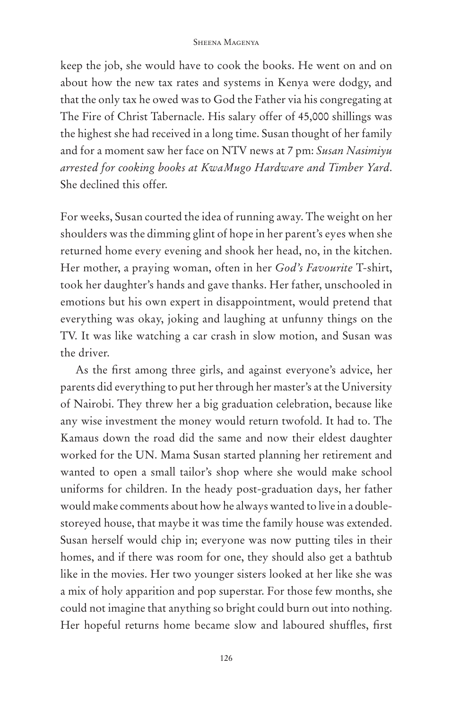keep the job, she would have to cook the books. He went on and on about how the new tax rates and systems in Kenya were dodgy, and that the only tax he owed was to God the Father via his congregating at The Fire of Christ Tabernacle. His salary offer of 45,000 shillings was the highest she had received in a long time. Susan thought of her family and for a moment saw her face on NTV news at 7 pm: *Susan Nasimiyu arrested for cooking books at KwaMugo Hardware and Timber Yard*. She declined this offer.

For weeks, Susan courted the idea of running away. The weight on her shoulders was the dimming glint of hope in her parent's eyes when she returned home every evening and shook her head, no, in the kitchen. Her mother, a praying woman, often in her *God's Favourite* T-shirt, took her daughter's hands and gave thanks. Her father, unschooled in emotions but his own expert in disappointment, would pretend that everything was okay, joking and laughing at unfunny things on the TV. It was like watching a car crash in slow motion, and Susan was the driver.

As the first among three girls, and against everyone's advice, her parents did everything to put her through her master's at the University of Nairobi. They threw her a big graduation celebration, because like any wise investment the money would return twofold. It had to. The Kamaus down the road did the same and now their eldest daughter worked for the UN. Mama Susan started planning her retirement and wanted to open a small tailor's shop where she would make school uniforms for children. In the heady post-graduation days, her father would make comments about how he always wanted to live in a doublestoreyed house, that maybe it was time the family house was extended. Susan herself would chip in; everyone was now putting tiles in their homes, and if there was room for one, they should also get a bathtub like in the movies. Her two younger sisters looked at her like she was a mix of holy apparition and pop superstar. For those few months, she could not imagine that anything so bright could burn out into nothing. Her hopeful returns home became slow and laboured shuffles, first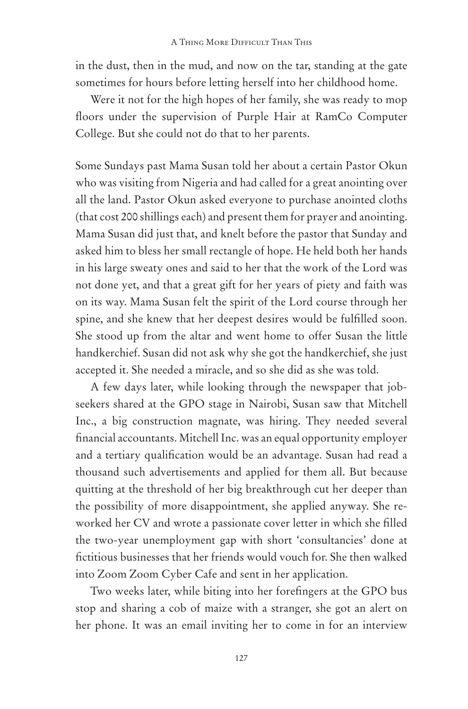in the dust, then in the mud, and now on the tar, standing at the gate sometimes for hours before letting herself into her childhood home.

Were it not for the high hopes of her family, she was ready to mop floors under the supervision of Purple Hair at RamCo Computer College. But she could not do that to her parents.

Some Sundays past Mama Susan told her about a certain Pastor Okun who was visiting from Nigeria and had called for a great anointing over all the land. Pastor Okun asked everyone to purchase anointed cloths (that cost 200 shillings each) and present them for prayer and anointing. Mama Susan did just that, and knelt before the pastor that Sunday and asked him to bless her small rectangle of hope. He held both her hands in his large sweaty ones and said to her that the work of the Lord was not done yet, and that a great gift for her years of piety and faith was on its way. Mama Susan felt the spirit of the Lord course through her spine, and she knew that her deepest desires would be fulfilled soon. She stood up from the altar and went home to offer Susan the little handkerchief. Susan did not ask why she got the handkerchief, she just accepted it. She needed a miracle, and so she did as she was told.

A few days later, while looking through the newspaper that jobseekers shared at the GPO stage in Nairobi, Susan saw that Mitchell Inc., a big construction magnate, was hiring. They needed several financial accountants. Mitchell Inc. was an equal opportunity employer and a tertiary qualification would be an advantage. Susan had read a thousand such advertisements and applied for them all. But because quitting at the threshold of her big breakthrough cut her deeper than the possibility of more disappointment, she applied anyway. She reworked her CV and wrote a passionate cover letter in which she filled the two-year unemployment gap with short 'consultancies' done at fictitious businesses that her friends would vouch for. She then walked into Zoom Zoom Cyber Cafe and sent in her application.

Two weeks later, while biting into her forefingers at the GPO bus stop and sharing a cob of maize with a stranger, she got an alert on her phone. It was an email inviting her to come in for an interview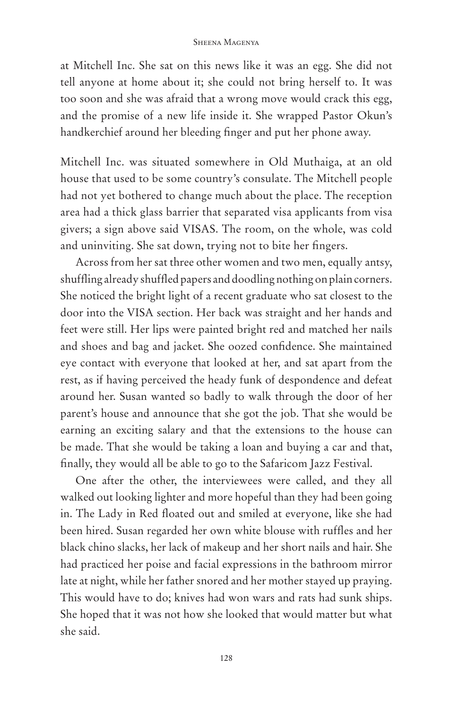at Mitchell Inc. She sat on this news like it was an egg. She did not tell anyone at home about it; she could not bring herself to. It was too soon and she was afraid that a wrong move would crack this egg, and the promise of a new life inside it. She wrapped Pastor Okun's handkerchief around her bleeding finger and put her phone away.

Mitchell Inc. was situated somewhere in Old Muthaiga, at an old house that used to be some country's consulate. The Mitchell people had not yet bothered to change much about the place. The reception area had a thick glass barrier that separated visa applicants from visa givers; a sign above said VISAS. The room, on the whole, was cold and uninviting. She sat down, trying not to bite her fingers.

Across from her sat three other women and two men, equally antsy, shuffling already shuffled papers and doodling nothing on plain corners. She noticed the bright light of a recent graduate who sat closest to the door into the VISA section. Her back was straight and her hands and feet were still. Her lips were painted bright red and matched her nails and shoes and bag and jacket. She oozed confidence. She maintained eye contact with everyone that looked at her, and sat apart from the rest, as if having perceived the heady funk of despondence and defeat around her. Susan wanted so badly to walk through the door of her parent's house and announce that she got the job. That she would be earning an exciting salary and that the extensions to the house can be made. That she would be taking a loan and buying a car and that, finally, they would all be able to go to the Safaricom Jazz Festival.

One after the other, the interviewees were called, and they all walked out looking lighter and more hopeful than they had been going in. The Lady in Red floated out and smiled at everyone, like she had been hired. Susan regarded her own white blouse with ruffles and her black chino slacks, her lack of makeup and her short nails and hair. She had practiced her poise and facial expressions in the bathroom mirror late at night, while her father snored and her mother stayed up praying. This would have to do; knives had won wars and rats had sunk ships. She hoped that it was not how she looked that would matter but what she said.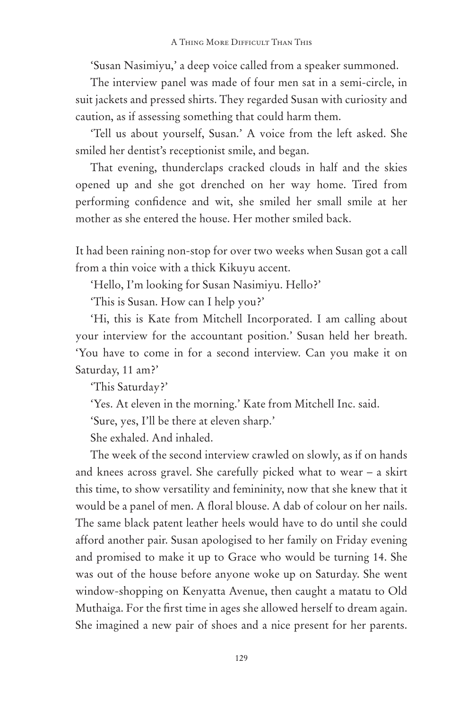'Susan Nasimiyu,' a deep voice called from a speaker summoned.

The interview panel was made of four men sat in a semi-circle, in suit jackets and pressed shirts. They regarded Susan with curiosity and caution, as if assessing something that could harm them.

'Tell us about yourself, Susan.' A voice from the left asked. She smiled her dentist's receptionist smile, and began.

That evening, thunderclaps cracked clouds in half and the skies opened up and she got drenched on her way home. Tired from performing confidence and wit, she smiled her small smile at her mother as she entered the house. Her mother smiled back.

It had been raining non-stop for over two weeks when Susan got a call from a thin voice with a thick Kikuyu accent.

'Hello, I'm looking for Susan Nasimiyu. Hello?'

'This is Susan. How can I help you?'

'Hi, this is Kate from Mitchell Incorporated. I am calling about your interview for the accountant position.' Susan held her breath. 'You have to come in for a second interview. Can you make it on Saturday, 11 am?'

'This Saturday?'

'Yes. At eleven in the morning.' Kate from Mitchell Inc. said.

'Sure, yes, I'll be there at eleven sharp.'

She exhaled. And inhaled.

The week of the second interview crawled on slowly, as if on hands and knees across gravel. She carefully picked what to wear – a skirt this time, to show versatility and femininity, now that she knew that it would be a panel of men. A floral blouse. A dab of colour on her nails. The same black patent leather heels would have to do until she could afford another pair. Susan apologised to her family on Friday evening and promised to make it up to Grace who would be turning 14. She was out of the house before anyone woke up on Saturday. She went window-shopping on Kenyatta Avenue, then caught a matatu to Old Muthaiga. For the first time in ages she allowed herself to dream again. She imagined a new pair of shoes and a nice present for her parents.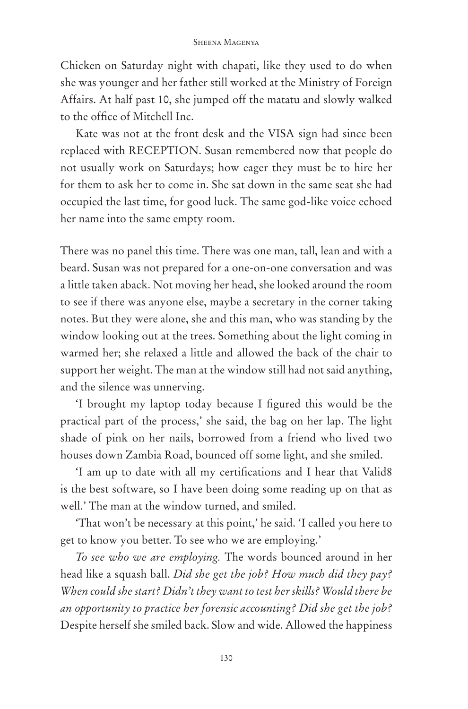Chicken on Saturday night with chapati, like they used to do when she was younger and her father still worked at the Ministry of Foreign Affairs. At half past 10, she jumped off the matatu and slowly walked to the office of Mitchell Inc.

Kate was not at the front desk and the VISA sign had since been replaced with RECEPTION. Susan remembered now that people do not usually work on Saturdays; how eager they must be to hire her for them to ask her to come in. She sat down in the same seat she had occupied the last time, for good luck. The same god-like voice echoed her name into the same empty room.

There was no panel this time. There was one man, tall, lean and with a beard. Susan was not prepared for a one-on-one conversation and was a little taken aback. Not moving her head, she looked around the room to see if there was anyone else, maybe a secretary in the corner taking notes. But they were alone, she and this man, who was standing by the window looking out at the trees. Something about the light coming in warmed her; she relaxed a little and allowed the back of the chair to support her weight. The man at the window still had not said anything, and the silence was unnerving.

'I brought my laptop today because I figured this would be the practical part of the process,' she said, the bag on her lap. The light shade of pink on her nails, borrowed from a friend who lived two houses down Zambia Road, bounced off some light, and she smiled.

'I am up to date with all my certifications and I hear that Valid8 is the best software, so I have been doing some reading up on that as well.' The man at the window turned, and smiled.

'That won't be necessary at this point,' he said. 'I called you here to get to know you better. To see who we are employing.'

*To see who we are employing.* The words bounced around in her head like a squash ball. *Did she get the job? How much did they pay? When could she start? Didn't they want to test her skills? Would there be an opportunity to practice her forensic accounting? Did she get the job?* Despite herself she smiled back. Slow and wide. Allowed the happiness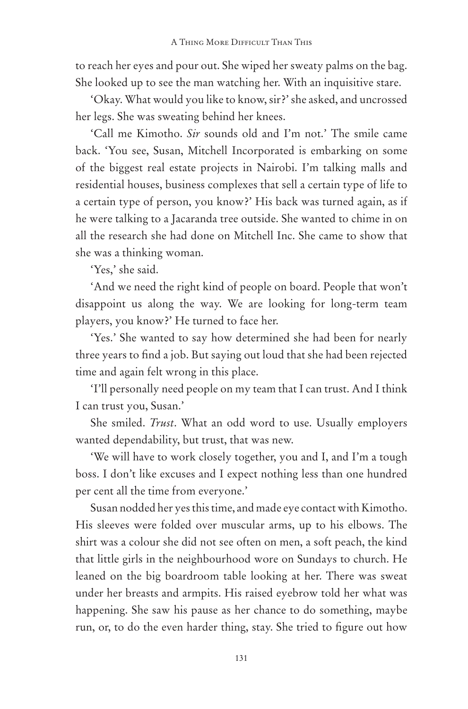to reach her eyes and pour out. She wiped her sweaty palms on the bag. She looked up to see the man watching her. With an inquisitive stare.

'Okay. What would you like to know, sir?' she asked, and uncrossed her legs. She was sweating behind her knees.

'Call me Kimotho. *Sir* sounds old and I'm not.' The smile came back. 'You see, Susan, Mitchell Incorporated is embarking on some of the biggest real estate projects in Nairobi. I'm talking malls and residential houses, business complexes that sell a certain type of life to a certain type of person, you know?' His back was turned again, as if he were talking to a Jacaranda tree outside. She wanted to chime in on all the research she had done on Mitchell Inc. She came to show that she was a thinking woman.

'Yes,' she said.

'And we need the right kind of people on board. People that won't disappoint us along the way. We are looking for long-term team players, you know?' He turned to face her.

'Yes.' She wanted to say how determined she had been for nearly three years to find a job. But saying out loud that she had been rejected time and again felt wrong in this place.

'I'll personally need people on my team that I can trust. And I think I can trust you, Susan.'

She smiled. *Trust*. What an odd word to use. Usually employers wanted dependability, but trust, that was new.

'We will have to work closely together, you and I, and I'm a tough boss. I don't like excuses and I expect nothing less than one hundred per cent all the time from everyone.'

Susan nodded her yes this time, and made eye contact with Kimotho. His sleeves were folded over muscular arms, up to his elbows. The shirt was a colour she did not see often on men, a soft peach, the kind that little girls in the neighbourhood wore on Sundays to church. He leaned on the big boardroom table looking at her. There was sweat under her breasts and armpits. His raised eyebrow told her what was happening. She saw his pause as her chance to do something, maybe run, or, to do the even harder thing, stay. She tried to figure out how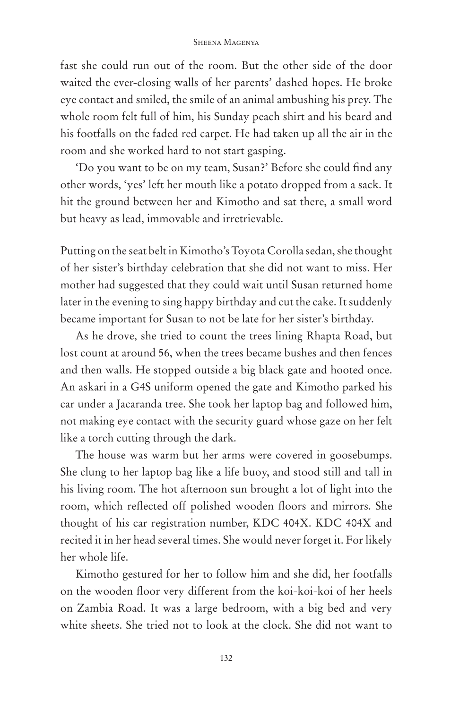fast she could run out of the room. But the other side of the door waited the ever-closing walls of her parents' dashed hopes. He broke eye contact and smiled, the smile of an animal ambushing his prey. The whole room felt full of him, his Sunday peach shirt and his beard and his footfalls on the faded red carpet. He had taken up all the air in the room and she worked hard to not start gasping.

'Do you want to be on my team, Susan?' Before she could find any other words, 'yes' left her mouth like a potato dropped from a sack. It hit the ground between her and Kimotho and sat there, a small word but heavy as lead, immovable and irretrievable.

Putting on the seat belt in Kimotho's Toyota Corolla sedan, she thought of her sister's birthday celebration that she did not want to miss. Her mother had suggested that they could wait until Susan returned home later in the evening to sing happy birthday and cut the cake. It suddenly became important for Susan to not be late for her sister's birthday.

As he drove, she tried to count the trees lining Rhapta Road, but lost count at around 56, when the trees became bushes and then fences and then walls. He stopped outside a big black gate and hooted once. An askari in a G4S uniform opened the gate and Kimotho parked his car under a Jacaranda tree. She took her laptop bag and followed him, not making eye contact with the security guard whose gaze on her felt like a torch cutting through the dark.

The house was warm but her arms were covered in goosebumps. She clung to her laptop bag like a life buoy, and stood still and tall in his living room. The hot afternoon sun brought a lot of light into the room, which reflected off polished wooden floors and mirrors. She thought of his car registration number, KDC 404X. KDC 404X and recited it in her head several times. She would never forget it. For likely her whole life.

Kimotho gestured for her to follow him and she did, her footfalls on the wooden floor very different from the koi-koi-koi of her heels on Zambia Road. It was a large bedroom, with a big bed and very white sheets. She tried not to look at the clock. She did not want to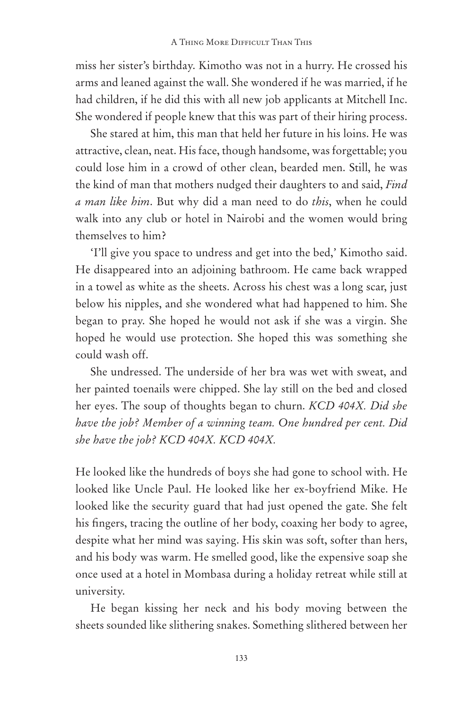miss her sister's birthday. Kimotho was not in a hurry. He crossed his arms and leaned against the wall. She wondered if he was married, if he had children, if he did this with all new job applicants at Mitchell Inc. She wondered if people knew that this was part of their hiring process.

She stared at him, this man that held her future in his loins. He was attractive, clean, neat. His face, though handsome, was forgettable; you could lose him in a crowd of other clean, bearded men. Still, he was the kind of man that mothers nudged their daughters to and said, *Find a man like him*. But why did a man need to do *this*, when he could walk into any club or hotel in Nairobi and the women would bring themselves to him?

'I'll give you space to undress and get into the bed,' Kimotho said. He disappeared into an adjoining bathroom. He came back wrapped in a towel as white as the sheets. Across his chest was a long scar, just below his nipples, and she wondered what had happened to him. She began to pray. She hoped he would not ask if she was a virgin. She hoped he would use protection. She hoped this was something she could wash off.

She undressed. The underside of her bra was wet with sweat, and her painted toenails were chipped. She lay still on the bed and closed her eyes. The soup of thoughts began to churn. *KCD 404X. Did she have the job? Member of a winning team. One hundred per cent. Did she have the job? KCD 404X. KCD 404X.*

He looked like the hundreds of boys she had gone to school with. He looked like Uncle Paul. He looked like her ex-boyfriend Mike. He looked like the security guard that had just opened the gate. She felt his fingers, tracing the outline of her body, coaxing her body to agree, despite what her mind was saying. His skin was soft, softer than hers, and his body was warm. He smelled good, like the expensive soap she once used at a hotel in Mombasa during a holiday retreat while still at university.

He began kissing her neck and his body moving between the sheets sounded like slithering snakes. Something slithered between her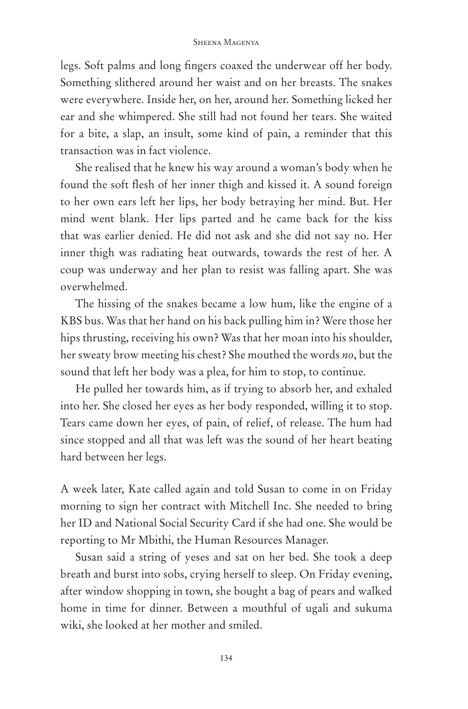legs. Soft palms and long fingers coaxed the underwear off her body. Something slithered around her waist and on her breasts. The snakes were everywhere. Inside her, on her, around her. Something licked her ear and she whimpered. She still had not found her tears. She waited for a bite, a slap, an insult, some kind of pain, a reminder that this transaction was in fact violence.

She realised that he knew his way around a woman's body when he found the soft flesh of her inner thigh and kissed it. A sound foreign to her own ears left her lips, her body betraying her mind. But. Her mind went blank. Her lips parted and he came back for the kiss that was earlier denied. He did not ask and she did not say no. Her inner thigh was radiating heat outwards, towards the rest of her. A coup was underway and her plan to resist was falling apart. She was overwhelmed.

The hissing of the snakes became a low hum, like the engine of a KBS bus. Was that her hand on his back pulling him in? Were those her hips thrusting, receiving his own? Was that her moan into his shoulder, her sweaty brow meeting his chest? She mouthed the words *no*, but the sound that left her body was a plea, for him to stop, to continue.

He pulled her towards him, as if trying to absorb her, and exhaled into her. She closed her eyes as her body responded, willing it to stop. Tears came down her eyes, of pain, of relief, of release. The hum had since stopped and all that was left was the sound of her heart beating hard between her legs.

A week later, Kate called again and told Susan to come in on Friday morning to sign her contract with Mitchell Inc. She needed to bring her ID and National Social Security Card if she had one. She would be reporting to Mr Mbithi, the Human Resources Manager.

Susan said a string of yeses and sat on her bed. She took a deep breath and burst into sobs, crying herself to sleep. On Friday evening, after window shopping in town, she bought a bag of pears and walked home in time for dinner. Between a mouthful of ugali and sukuma wiki, she looked at her mother and smiled.